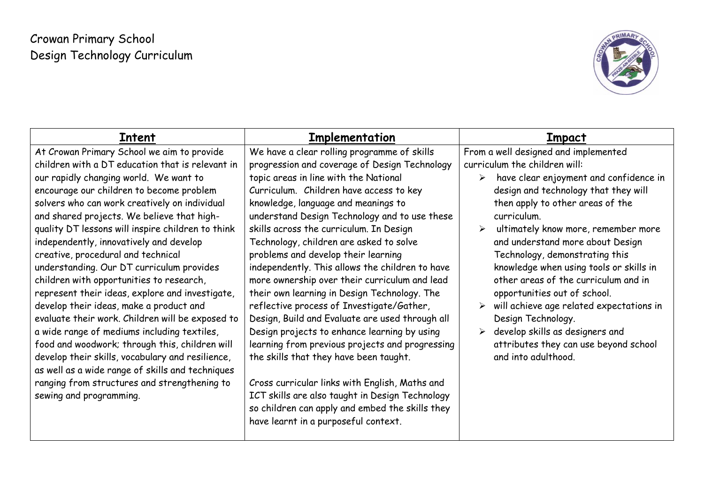# Crowan Primary School Design Technology Curriculum



| Intent                                            | Implementation                                  | Impact                                                          |
|---------------------------------------------------|-------------------------------------------------|-----------------------------------------------------------------|
| At Crowan Primary School we aim to provide        | We have a clear rolling programme of skills     | From a well designed and implemented                            |
| children with a DT education that is relevant in  | progression and coverage of Design Technology   | curriculum the children will:                                   |
| our rapidly changing world. We want to            | topic areas in line with the National           | have clear enjoyment and confidence in<br>$\blacktriangleright$ |
| encourage our children to become problem          | Curriculum. Children have access to key         | design and technology that they will                            |
| solvers who can work creatively on individual     | knowledge, language and meanings to             | then apply to other areas of the                                |
| and shared projects. We believe that high-        | understand Design Technology and to use these   | curriculum.                                                     |
| quality DT lessons will inspire children to think | skills across the curriculum. In Design         | ultimately know more, remember more                             |
| independently, innovatively and develop           | Technology, children are asked to solve         | and understand more about Design                                |
| creative, procedural and technical                | problems and develop their learning             | Technology, demonstrating this                                  |
| understanding. Our DT curriculum provides         | independently. This allows the children to have | knowledge when using tools or skills in                         |
| children with opportunities to research,          | more ownership over their curriculum and lead   | other areas of the curriculum and in                            |
| represent their ideas, explore and investigate,   | their own learning in Design Technology. The    | opportunities out of school.                                    |
| develop their ideas, make a product and           | reflective process of Investigate/Gather,       | will achieve age related expectations in                        |
| evaluate their work. Children will be exposed to  | Design, Build and Evaluate are used through all | Design Technology.                                              |
| a wide range of mediums including textiles,       | Design projects to enhance learning by using    | develop skills as designers and<br>➤                            |
| food and woodwork; through this, children will    | learning from previous projects and progressing | attributes they can use beyond school                           |
| develop their skills, vocabulary and resilience,  | the skills that they have been taught.          | and into adulthood.                                             |
| as well as a wide range of skills and techniques  |                                                 |                                                                 |
| ranging from structures and strengthening to      | Cross curricular links with English, Maths and  |                                                                 |
| sewing and programming.                           | ICT skills are also taught in Design Technology |                                                                 |
|                                                   | so children can apply and embed the skills they |                                                                 |
|                                                   | have learnt in a purposeful context.            |                                                                 |
|                                                   |                                                 |                                                                 |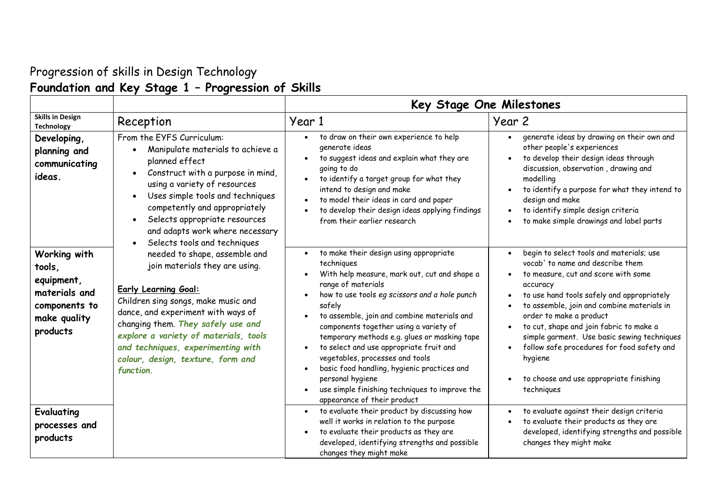## Progression of skills in Design Technology **Foundation and Key Stage 1 – Progression of Skills**

|                                                                                                    |                                                                                                                                                                                                                                                                                                                                                    | Key Stage One Milestones                                                                                                                                                                                                                                                                                                                                                                                                                                                                                                                                         |                                                                                                                                                                                                                                                                                                                                                                                                                                                                                                                                     |  |
|----------------------------------------------------------------------------------------------------|----------------------------------------------------------------------------------------------------------------------------------------------------------------------------------------------------------------------------------------------------------------------------------------------------------------------------------------------------|------------------------------------------------------------------------------------------------------------------------------------------------------------------------------------------------------------------------------------------------------------------------------------------------------------------------------------------------------------------------------------------------------------------------------------------------------------------------------------------------------------------------------------------------------------------|-------------------------------------------------------------------------------------------------------------------------------------------------------------------------------------------------------------------------------------------------------------------------------------------------------------------------------------------------------------------------------------------------------------------------------------------------------------------------------------------------------------------------------------|--|
| <b>Skills in Design</b><br><b>Technology</b>                                                       | Reception                                                                                                                                                                                                                                                                                                                                          | Year 1                                                                                                                                                                                                                                                                                                                                                                                                                                                                                                                                                           | Year 2                                                                                                                                                                                                                                                                                                                                                                                                                                                                                                                              |  |
| Developing,<br>planning and<br>communicating<br>ideas.                                             | From the EYFS Curriculum:<br>Manipulate materials to achieve a<br>planned effect<br>Construct with a purpose in mind,<br>using a variety of resources<br>Uses simple tools and techniques<br>competently and appropriately<br>Selects appropriate resources<br>$\bullet$<br>and adapts work where necessary<br>Selects tools and techniques        | to draw on their own experience to help<br>$\bullet$<br>generate ideas<br>to suggest ideas and explain what they are<br>going to do<br>to identify a target group for what they<br>$\bullet$<br>intend to design and make<br>to model their ideas in card and paper<br>to develop their design ideas applying findings<br>from their earlier research                                                                                                                                                                                                            | generate ideas by drawing on their own and<br>$\bullet$<br>other people's experiences<br>to develop their design ideas through<br>$\bullet$<br>discussion, observation, drawing and<br>modelling<br>to identify a purpose for what they intend to<br>$\bullet$<br>design and make<br>to identify simple design criteria<br>$\bullet$<br>to make simple drawings and label parts                                                                                                                                                     |  |
| Working with<br>tools,<br>equipment,<br>materials and<br>components to<br>make quality<br>products | needed to shape, assemble and<br>join materials they are using.<br><b>Early Learning Goal:</b><br>Children sing songs, make music and<br>dance, and experiment with ways of<br>changing them. They safely use and<br>explore a variety of materials, tools<br>and techniques, experimenting with<br>colour, design, texture, form and<br>function. | to make their design using appropriate<br>techniques<br>With help measure, mark out, cut and shape a<br>range of materials<br>how to use tools eg scissors and a hole punch<br>safely<br>to assemble, join and combine materials and<br>components together using a variety of<br>temporary methods e.g. glues or masking tape<br>to select and use appropriate fruit and<br>vegetables, processes and tools<br>basic food handling, hygienic practices and<br>personal hygiene<br>use simple finishing techniques to improve the<br>appearance of their product | begin to select tools and materials; use<br>$\bullet$<br>vocab' to name and describe them<br>to measure, cut and score with some<br>$\bullet$<br>accuracy<br>to use hand tools safely and appropriately<br>$\bullet$<br>to assemble, join and combine materials in<br>$\bullet$<br>order to make a product<br>to cut, shape and join fabric to make a<br>$\bullet$<br>simple garment. Use basic sewing techniques<br>follow safe procedures for food safety and<br>hygiene<br>to choose and use appropriate finishing<br>techniques |  |
| <b>Evaluating</b><br>processes and<br>products                                                     |                                                                                                                                                                                                                                                                                                                                                    | to evaluate their product by discussing how<br>well it works in relation to the purpose<br>to evaluate their products as they are<br>developed, identifying strengths and possible<br>changes they might make                                                                                                                                                                                                                                                                                                                                                    | to evaluate against their design criteria<br>$\bullet$<br>to evaluate their products as they are<br>$\bullet$<br>developed, identifying strengths and possible<br>changes they might make                                                                                                                                                                                                                                                                                                                                           |  |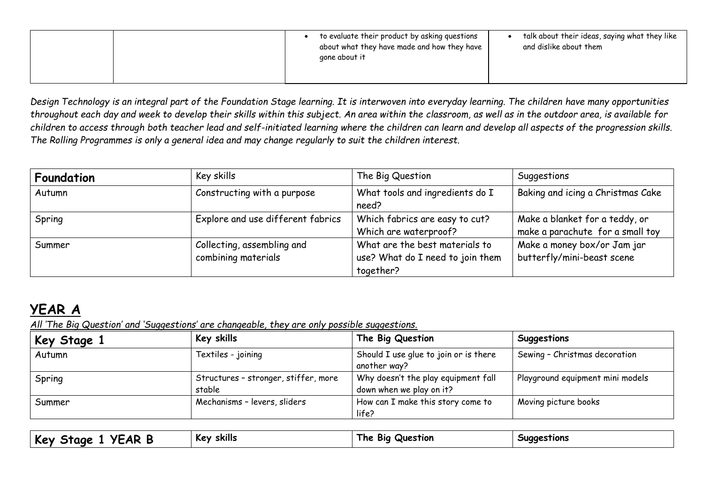|  | to evaluate their product by asking questions<br>about what they have made and how they have<br>gone about it | talk about their ideas, saying what they like<br>and dislike about them |
|--|---------------------------------------------------------------------------------------------------------------|-------------------------------------------------------------------------|
|  |                                                                                                               |                                                                         |

*Design Technology is an integral part of the Foundation Stage learning. It is interwoven into everyday learning. The children have many opportunities throughout each day and week to develop their skills within this subject. An area within the classroom, as well as in the outdoor area, is available for children to access through both teacher lead and self-initiated learning where the children can learn and develop all aspects of the progression skills. The Rolling Programmes is only a general idea and may change regularly to suit the children interest.*

| Foundation | Key skills                        | The Big Question                 | Suggestions                       |
|------------|-----------------------------------|----------------------------------|-----------------------------------|
| Autumn     | Constructing with a purpose       | What tools and ingredients do I  | Baking and icing a Christmas Cake |
|            |                                   | need?                            |                                   |
| Spring     | Explore and use different fabrics | Which fabrics are easy to cut?   | Make a blanket for a teddy, or    |
|            |                                   | Which are waterproof?            | make a parachute for a small toy  |
| Summer     | Collecting, assembling and        | What are the best materials to   | Make a money box/or Jam jar       |
|            | combining materials               | use? What do I need to join them | butterfly/mini-beast scene        |
|            |                                   | together?                        |                                   |

## **YEAR A**

*All 'The Big Question' and 'Suggestions' are changeable, they are only possible suggestions.* 

| Key skills                           | The Big Question                      | Suggestions                      |
|--------------------------------------|---------------------------------------|----------------------------------|
| Textiles - joining                   | Should I use glue to join or is there | Sewing - Christmas decoration    |
|                                      | another way?                          |                                  |
| Structures - stronger, stiffer, more | Why doesn't the play equipment fall   | Playground equipment mini models |
| stable                               | down when we play on it?              |                                  |
| Mechanisms - levers, sliders         | How can I make this story come to     | Moving picture books             |
|                                      | life?                                 |                                  |
|                                      |                                       |                                  |

| .<br>rе<br>. . | <br><br>skills<br>⊶ ∿e | Question<br>Віа<br>I ne | <b>Suggestions</b><br>-- |
|----------------|------------------------|-------------------------|--------------------------|
|                |                        |                         |                          |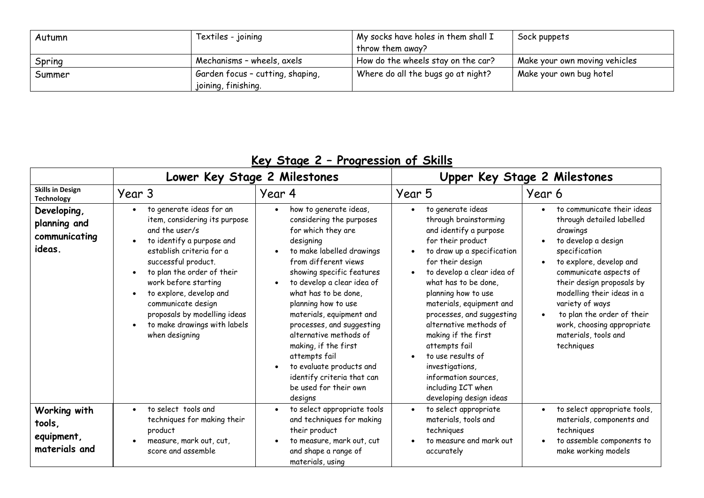| Autumn | Textiles - joining               | My socks have holes in them shall I | Sock puppets                  |
|--------|----------------------------------|-------------------------------------|-------------------------------|
|        |                                  | throw them away?                    |                               |
| Spring | Mechanisms - wheels, axels       | How do the wheels stay on the car?  | Make your own moving vehicles |
| Summer | Garden focus - cutting, shaping, | Where do all the bugs go at night?  | Make your own bug hotel       |
|        | joining, finishing.              |                                     |                               |

| $\frac{1}{2}$<br>THUY COOLUMNATION                     |                                                                                                                                                                                                                                                                                                                                                                   |                                                                                                                                                                                                                                                                                                                                                                                                                                                                                             |                                                                                                                                                                                                                                                                                                                                                                                                                                                                                   |                                                                                                                                                                                                                                                                                                                                                               |
|--------------------------------------------------------|-------------------------------------------------------------------------------------------------------------------------------------------------------------------------------------------------------------------------------------------------------------------------------------------------------------------------------------------------------------------|---------------------------------------------------------------------------------------------------------------------------------------------------------------------------------------------------------------------------------------------------------------------------------------------------------------------------------------------------------------------------------------------------------------------------------------------------------------------------------------------|-----------------------------------------------------------------------------------------------------------------------------------------------------------------------------------------------------------------------------------------------------------------------------------------------------------------------------------------------------------------------------------------------------------------------------------------------------------------------------------|---------------------------------------------------------------------------------------------------------------------------------------------------------------------------------------------------------------------------------------------------------------------------------------------------------------------------------------------------------------|
|                                                        | Lower Key Stage 2 Milestones                                                                                                                                                                                                                                                                                                                                      |                                                                                                                                                                                                                                                                                                                                                                                                                                                                                             |                                                                                                                                                                                                                                                                                                                                                                                                                                                                                   | Upper Key Stage 2 Milestones                                                                                                                                                                                                                                                                                                                                  |
| <b>Skills in Design</b><br><b>Technology</b>           | Year 3                                                                                                                                                                                                                                                                                                                                                            | Year 4                                                                                                                                                                                                                                                                                                                                                                                                                                                                                      | Year 5                                                                                                                                                                                                                                                                                                                                                                                                                                                                            | Year 6                                                                                                                                                                                                                                                                                                                                                        |
| Developing,<br>planning and<br>communicating<br>ideas. | to generate ideas for an<br>$\bullet$<br>item, considering its purpose<br>and the user/s<br>to identify a purpose and<br>establish criteria for a<br>successful product.<br>to plan the order of their<br>work before starting<br>to explore, develop and<br>communicate design<br>proposals by modelling ideas<br>to make drawings with labels<br>when designing | how to generate ideas,<br>$\bullet$<br>considering the purposes<br>for which they are<br>designing<br>to make labelled drawings<br>from different views<br>showing specific features<br>to develop a clear idea of<br>what has to be done.<br>planning how to use<br>materials, equipment and<br>processes, and suggesting<br>alternative methods of<br>making, if the first<br>attempts fail<br>to evaluate products and<br>identify criteria that can<br>be used for their own<br>designs | to generate ideas<br>$\bullet$<br>through brainstorming<br>and identify a purpose<br>for their product<br>to draw up a specification<br>for their design<br>to develop a clear idea of<br>what has to be done,<br>planning how to use<br>materials, equipment and<br>processes, and suggesting<br>alternative methods of<br>making if the first<br>attempts fail<br>to use results of<br>investigations,<br>information sources,<br>including ICT when<br>developing design ideas | to communicate their ideas<br>through detailed labelled<br>drawings<br>to develop a design<br>specification<br>to explore, develop and<br>communicate aspects of<br>their design proposals by<br>modelling their ideas in a<br>variety of ways<br>to plan the order of their<br>$\bullet$<br>work, choosing appropriate<br>materials, tools and<br>techniques |
| Working with<br>tools,<br>equipment,<br>materials and  | to select tools and<br>techniques for making their<br>product<br>measure, mark out, cut,<br>score and assemble                                                                                                                                                                                                                                                    | to select appropriate tools<br>and techniques for making<br>their product<br>to measure, mark out, cut<br>and shape a range of<br>materials, using                                                                                                                                                                                                                                                                                                                                          | to select appropriate<br>materials, tools and<br>techniques<br>to measure and mark out<br>accurately                                                                                                                                                                                                                                                                                                                                                                              | to select appropriate tools,<br>materials, components and<br>techniques<br>to assemble components to<br>make working models                                                                                                                                                                                                                                   |

## **Key Stage 2 – Progression of Skills**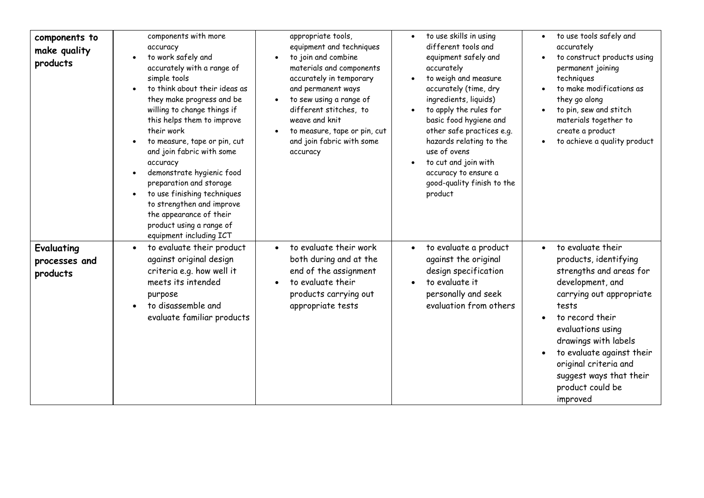| components to<br>make quality<br>products | components with more<br>accuracy<br>to work safely and<br>accurately with a range of<br>simple tools<br>to think about their ideas as<br>they make progress and be<br>willing to change things if<br>this helps them to improve<br>their work<br>to measure, tape or pin, cut<br>and join fabric with some<br>accuracy<br>demonstrate hygienic food<br>preparation and storage<br>to use finishing techniques<br>to strengthen and improve<br>the appearance of their<br>product using a range of<br>equipment including ICT | appropriate tools,<br>equipment and techniques<br>to join and combine<br>materials and components<br>accurately in temporary<br>and permanent ways<br>to sew using a range of<br>different stitches, to<br>weave and knit<br>to measure, tape or pin, cut<br>and join fabric with some<br>accuracy | to use skills in using<br>different tools and<br>equipment safely and<br>accurately<br>to weigh and measure<br>accurately (time, dry<br>ingredients, liquids)<br>to apply the rules for<br>basic food hygiene and<br>other safe practices e.g.<br>hazards relating to the<br>use of ovens<br>to cut and join with<br>accuracy to ensure a<br>good-quality finish to the<br>product | to use tools safely and<br>accurately<br>to construct products using<br>permanent joining<br>techniques<br>to make modifications as<br>they go along<br>to pin, sew and stitch<br>materials together to<br>create a product<br>to achieve a quality product                                                     |
|-------------------------------------------|------------------------------------------------------------------------------------------------------------------------------------------------------------------------------------------------------------------------------------------------------------------------------------------------------------------------------------------------------------------------------------------------------------------------------------------------------------------------------------------------------------------------------|----------------------------------------------------------------------------------------------------------------------------------------------------------------------------------------------------------------------------------------------------------------------------------------------------|------------------------------------------------------------------------------------------------------------------------------------------------------------------------------------------------------------------------------------------------------------------------------------------------------------------------------------------------------------------------------------|-----------------------------------------------------------------------------------------------------------------------------------------------------------------------------------------------------------------------------------------------------------------------------------------------------------------|
| Evaluating<br>processes and<br>products   | to evaluate their product<br>$\bullet$<br>against original design<br>criteria e.g. how well it<br>meets its intended<br>purpose<br>to disassemble and<br>evaluate familiar products                                                                                                                                                                                                                                                                                                                                          | to evaluate their work<br>both during and at the<br>end of the assignment<br>to evaluate their<br>products carrying out<br>appropriate tests                                                                                                                                                       | to evaluate a product<br>against the original<br>design specification<br>to evaluate it<br>personally and seek<br>evaluation from others                                                                                                                                                                                                                                           | to evaluate their<br>products, identifying<br>strengths and areas for<br>development, and<br>carrying out appropriate<br>tests<br>to record their<br>evaluations using<br>drawings with labels<br>to evaluate against their<br>original criteria and<br>suggest ways that their<br>product could be<br>improved |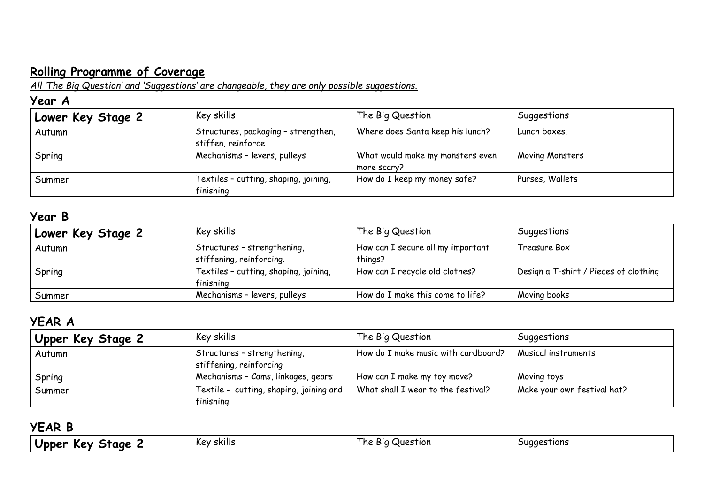# **Rolling Programme of Coverage**

*All 'The Big Question' and 'Suggestions' are changeable, they are only possible suggestions.* 

#### **Year A**

| Lower Key Stage 2 | Key skills                                                | The Big Question                                | Suggestions     |
|-------------------|-----------------------------------------------------------|-------------------------------------------------|-----------------|
| Autumn            | Structures, packaging - strengthen,<br>stiffen, reinforce | Where does Santa keep his lunch?                | Lunch boxes.    |
| Spring            | Mechanisms - levers, pulleys                              | What would make my monsters even<br>more scary? | Moving Monsters |
| Summer            | Textiles - cutting, shaping, joining,<br>finishing        | How do I keep my money safe?                    | Purses, Wallets |

#### **Year B**

| Lower Key Stage 2 | Key skills                            | The Big Question                  | Suggestions                           |
|-------------------|---------------------------------------|-----------------------------------|---------------------------------------|
| Autumn            | Structures - strengthening,           | How can I secure all my important | Treasure Box                          |
|                   | stiffening, reinforcing.              | things?                           |                                       |
| Spring            | Textiles - cutting, shaping, joining, | How can I recycle old clothes?    | Design a T-shirt / Pieces of clothing |
|                   | finishing                             |                                   |                                       |
| Summer            | Mechanisms - levers, pulleys          | How do I make this come to life?  | Moving books                          |

## **YEAR A**

| Upper Key Stage 2 | Key skills                                             | The Big Question                    | Suggestions                 |
|-------------------|--------------------------------------------------------|-------------------------------------|-----------------------------|
| Autumn            | Structures - strengthening,<br>stiffening, reinforcing | How do I make music with cardboard? | Musical instruments         |
| Spring            | Mechanisms - Cams, linkages, gears                     | How can I make my toy move?         | Moving toys                 |
| Summer            | Textile - cutting, shaping, joining and<br>finishing   | What shall I wear to the festival?  | Make your own festival hat? |

### **YEAR B**

| $J$ br<br>ane:<br>--<br>.ev<br>ner | $\cdot$ .<br>skills<br>Kev | -<br>Question<br><b>BIQ</b><br>ne | tions<br>aaes: |
|------------------------------------|----------------------------|-----------------------------------|----------------|